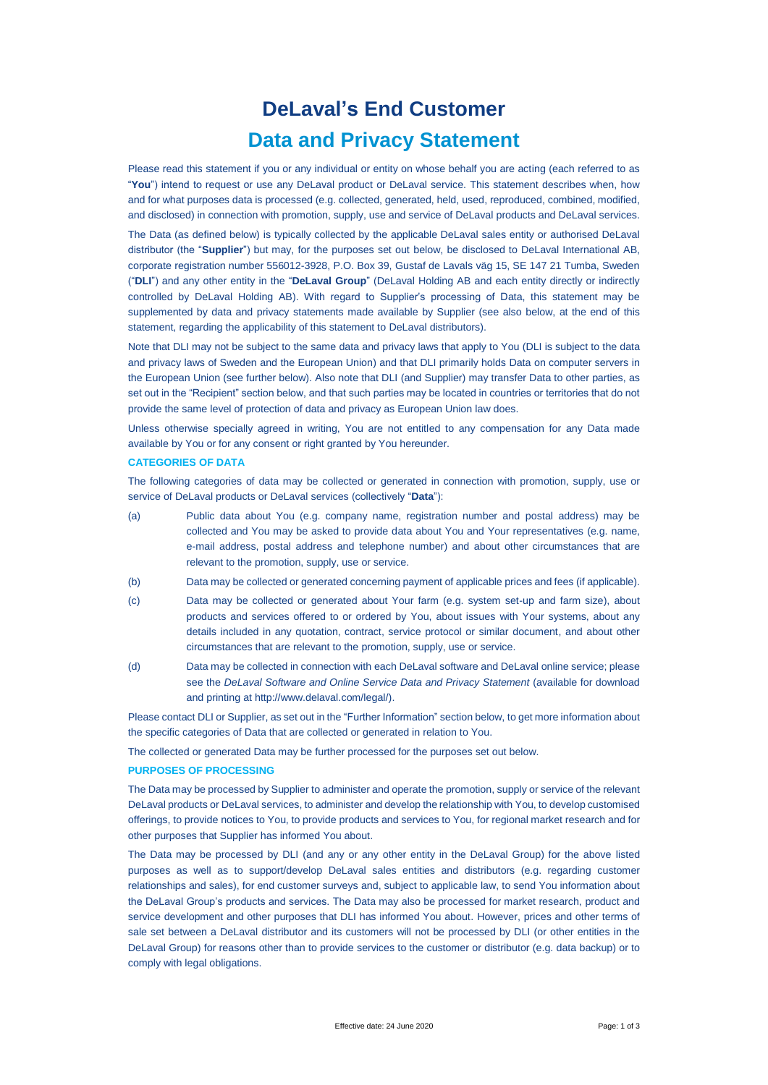# **DeLaval's End Customer Data and Privacy Statement**

Please read this statement if you or any individual or entity on whose behalf you are acting (each referred to as "**You**") intend to request or use any DeLaval product or DeLaval service. This statement describes when, how and for what purposes data is processed (e.g. collected, generated, held, used, reproduced, combined, modified, and disclosed) in connection with promotion, supply, use and service of DeLaval products and DeLaval services.

The Data (as defined below) is typically collected by the applicable DeLaval sales entity or authorised DeLaval distributor (the "**Supplier**") but may, for the purposes set out below, be disclosed to DeLaval International AB, corporate registration number 556012-3928, P.O. Box 39, Gustaf de Lavals väg 15, SE 147 21 Tumba, Sweden ("**DLI**") and any other entity in the "**DeLaval Group**" (DeLaval Holding AB and each entity directly or indirectly controlled by DeLaval Holding AB). With regard to Supplier's processing of Data, this statement may be supplemented by data and privacy statements made available by Supplier (see also below, at the end of this statement, regarding the applicability of this statement to DeLaval distributors).

Note that DLI may not be subject to the same data and privacy laws that apply to You (DLI is subject to the data and privacy laws of Sweden and the European Union) and that DLI primarily holds Data on computer servers in the European Union (see further below). Also note that DLI (and Supplier) may transfer Data to other parties, as set out in the "Recipient" section below, and that such parties may be located in countries or territories that do not provide the same level of protection of data and privacy as European Union law does.

Unless otherwise specially agreed in writing, You are not entitled to any compensation for any Data made available by You or for any consent or right granted by You hereunder.

### **CATEGORIES OF DATA**

The following categories of data may be collected or generated in connection with promotion, supply, use or service of DeLaval products or DeLaval services (collectively "**Data**"):

- (a) Public data about You (e.g. company name, registration number and postal address) may be collected and You may be asked to provide data about You and Your representatives (e.g. name, e-mail address, postal address and telephone number) and about other circumstances that are relevant to the promotion, supply, use or service.
- (b) Data may be collected or generated concerning payment of applicable prices and fees (if applicable).
- (c) Data may be collected or generated about Your farm (e.g. system set-up and farm size), about products and services offered to or ordered by You, about issues with Your systems, about any details included in any quotation, contract, service protocol or similar document, and about other circumstances that are relevant to the promotion, supply, use or service.
- (d) Data may be collected in connection with each DeLaval software and DeLaval online service; please see the *DeLaval Software and Online Service Data and Privacy Statement* (available for download and printing at http://www.delaval.com/legal/).

Please contact DLI or Supplier, as set out in the "Further Information" section below, to get more information about the specific categories of Data that are collected or generated in relation to You.

The collected or generated Data may be further processed for the purposes set out below.

#### **PURPOSES OF PROCESSING**

The Data may be processed by Supplier to administer and operate the promotion, supply or service of the relevant DeLaval products or DeLaval services, to administer and develop the relationship with You, to develop customised offerings, to provide notices to You, to provide products and services to You, for regional market research and for other purposes that Supplier has informed You about.

The Data may be processed by DLI (and any or any other entity in the DeLaval Group) for the above listed purposes as well as to support/develop DeLaval sales entities and distributors (e.g. regarding customer relationships and sales), for end customer surveys and, subject to applicable law, to send You information about the DeLaval Group's products and services. The Data may also be processed for market research, product and service development and other purposes that DLI has informed You about. However, prices and other terms of sale set between a DeLaval distributor and its customers will not be processed by DLI (or other entities in the DeLaval Group) for reasons other than to provide services to the customer or distributor (e.g. data backup) or to comply with legal obligations.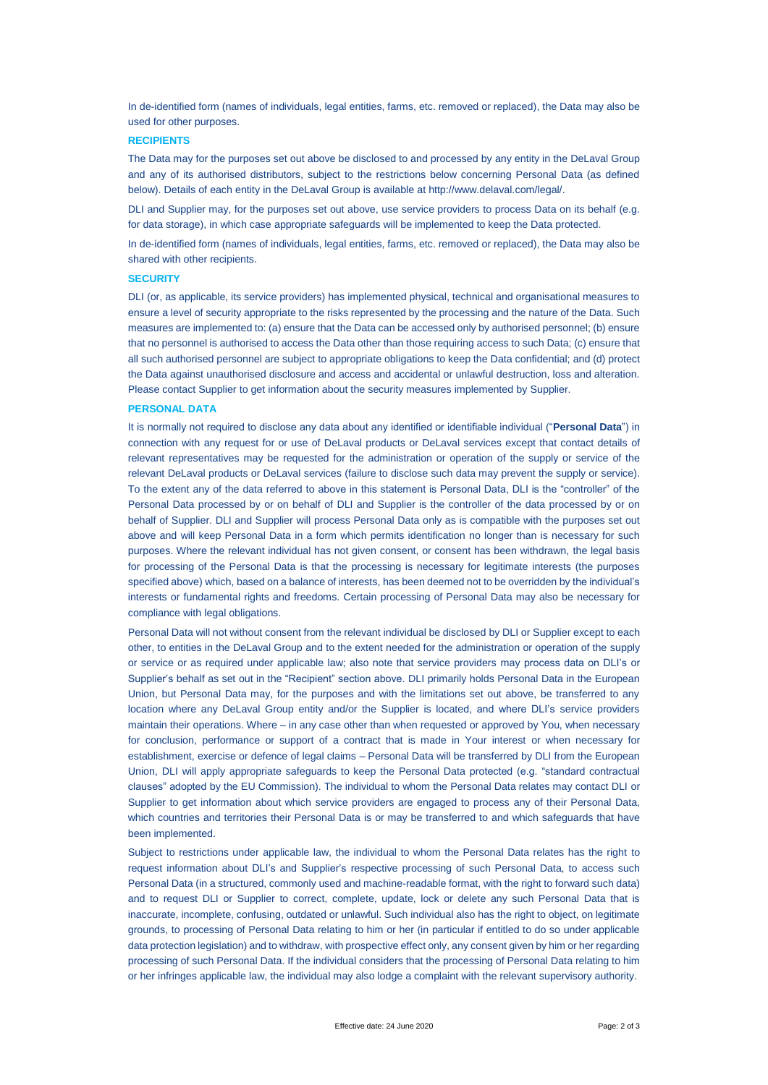In de-identified form (names of individuals, legal entities, farms, etc. removed or replaced), the Data may also be used for other purposes.

### **RECIPIENTS**

The Data may for the purposes set out above be disclosed to and processed by any entity in the DeLaval Group and any of its authorised distributors, subject to the restrictions below concerning Personal Data (as defined below). Details of each entity in the DeLaval Group is available at http://www.delaval.com/legal/.

DLI and Supplier may, for the purposes set out above, use service providers to process Data on its behalf (e.g. for data storage), in which case appropriate safeguards will be implemented to keep the Data protected.

In de-identified form (names of individuals, legal entities, farms, etc. removed or replaced), the Data may also be shared with other recipients.

## **SECURITY**

DLI (or, as applicable, its service providers) has implemented physical, technical and organisational measures to ensure a level of security appropriate to the risks represented by the processing and the nature of the Data. Such measures are implemented to: (a) ensure that the Data can be accessed only by authorised personnel; (b) ensure that no personnel is authorised to access the Data other than those requiring access to such Data; (c) ensure that all such authorised personnel are subject to appropriate obligations to keep the Data confidential; and (d) protect the Data against unauthorised disclosure and access and accidental or unlawful destruction, loss and alteration. Please contact Supplier to get information about the security measures implemented by Supplier.

## **PERSONAL DATA**

It is normally not required to disclose any data about any identified or identifiable individual ("**Personal Data**") in connection with any request for or use of DeLaval products or DeLaval services except that contact details of relevant representatives may be requested for the administration or operation of the supply or service of the relevant DeLaval products or DeLaval services (failure to disclose such data may prevent the supply or service). To the extent any of the data referred to above in this statement is Personal Data, DLI is the "controller" of the Personal Data processed by or on behalf of DLI and Supplier is the controller of the data processed by or on behalf of Supplier. DLI and Supplier will process Personal Data only as is compatible with the purposes set out above and will keep Personal Data in a form which permits identification no longer than is necessary for such purposes. Where the relevant individual has not given consent, or consent has been withdrawn, the legal basis for processing of the Personal Data is that the processing is necessary for legitimate interests (the purposes specified above) which, based on a balance of interests, has been deemed not to be overridden by the individual's interests or fundamental rights and freedoms. Certain processing of Personal Data may also be necessary for compliance with legal obligations.

Personal Data will not without consent from the relevant individual be disclosed by DLI or Supplier except to each other, to entities in the DeLaval Group and to the extent needed for the administration or operation of the supply or service or as required under applicable law; also note that service providers may process data on DLI's or Supplier's behalf as set out in the "Recipient" section above. DLI primarily holds Personal Data in the European Union, but Personal Data may, for the purposes and with the limitations set out above, be transferred to any location where any DeLaval Group entity and/or the Supplier is located, and where DLI's service providers maintain their operations. Where – in any case other than when requested or approved by You, when necessary for conclusion, performance or support of a contract that is made in Your interest or when necessary for establishment, exercise or defence of legal claims – Personal Data will be transferred by DLI from the European Union, DLI will apply appropriate safeguards to keep the Personal Data protected (e.g. "standard contractual clauses" adopted by the EU Commission). The individual to whom the Personal Data relates may contact DLI or Supplier to get information about which service providers are engaged to process any of their Personal Data, which countries and territories their Personal Data is or may be transferred to and which safeguards that have been implemented.

Subject to restrictions under applicable law, the individual to whom the Personal Data relates has the right to request information about DLI's and Supplier's respective processing of such Personal Data, to access such Personal Data (in a structured, commonly used and machine-readable format, with the right to forward such data) and to request DLI or Supplier to correct, complete, update, lock or delete any such Personal Data that is inaccurate, incomplete, confusing, outdated or unlawful. Such individual also has the right to object, on legitimate grounds, to processing of Personal Data relating to him or her (in particular if entitled to do so under applicable data protection legislation) and to withdraw, with prospective effect only, any consent given by him or her regarding processing of such Personal Data. If the individual considers that the processing of Personal Data relating to him or her infringes applicable law, the individual may also lodge a complaint with the relevant supervisory authority.